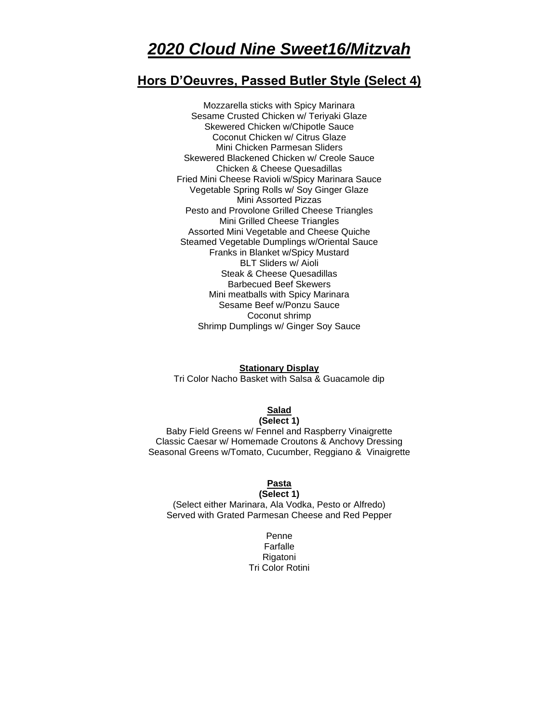# *2020 Cloud Nine Sweet16/Mitzvah*

# **Hors D'Oeuvres, Passed Butler Style (Select 4)**

Mozzarella sticks with Spicy Marinara Sesame Crusted Chicken w/ Teriyaki Glaze Skewered Chicken w/Chipotle Sauce Coconut Chicken w/ Citrus Glaze Mini Chicken Parmesan Sliders Skewered Blackened Chicken w/ Creole Sauce Chicken & Cheese Quesadillas Fried Mini Cheese Ravioli w/Spicy Marinara Sauce Vegetable Spring Rolls w/ Soy Ginger Glaze Mini Assorted Pizzas Pesto and Provolone Grilled Cheese Triangles Mini Grilled Cheese Triangles Assorted Mini Vegetable and Cheese Quiche Steamed Vegetable Dumplings w/Oriental Sauce Franks in Blanket w/Spicy Mustard BLT Sliders w/ Aioli Steak & Cheese Quesadillas Barbecued Beef Skewers Mini meatballs with Spicy Marinara Sesame Beef w/Ponzu Sauce Coconut shrimp Shrimp Dumplings w/ Ginger Soy Sauce

#### **Stationary Display**

Tri Color Nacho Basket with Salsa & Guacamole dip

# **Salad**

# **(Select 1)**

Baby Field Greens w/ Fennel and Raspberry Vinaigrette Classic Caesar w/ Homemade Croutons & Anchovy Dressing Seasonal Greens w/Tomato, Cucumber, Reggiano & Vinaigrette

#### **Pasta (Select 1)**

(Select either Marinara, Ala Vodka, Pesto or Alfredo) Served with Grated Parmesan Cheese and Red Pepper

> Penne Farfalle Rigatoni Tri Color Rotini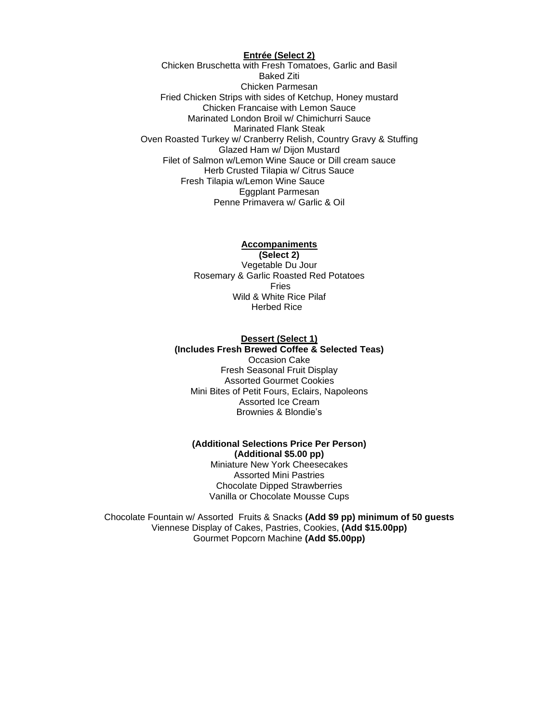#### **Entrée (Select 2)**

Chicken Bruschetta with Fresh Tomatoes, Garlic and Basil Baked Ziti Chicken Parmesan Fried Chicken Strips with sides of Ketchup, Honey mustard Chicken Francaise with Lemon Sauce Marinated London Broil w/ Chimichurri Sauce Marinated Flank Steak Oven Roasted Turkey w/ Cranberry Relish, Country Gravy & Stuffing Glazed Ham w/ Dijon Mustard Filet of Salmon w/Lemon Wine Sauce or Dill cream sauce Herb Crusted Tilapia w/ Citrus Sauce Fresh Tilapia w/Lemon Wine Sauce Eggplant Parmesan Penne Primavera w/ Garlic & Oil

#### **Accompaniments**

**(Select 2)** Vegetable Du Jour Rosemary & Garlic Roasted Red Potatoes Fries Wild & White Rice Pilaf Herbed Rice

#### **Dessert (Select 1) (Includes Fresh Brewed Coffee & Selected Teas)** Occasion Cake

Fresh Seasonal Fruit Display Assorted Gourmet Cookies Mini Bites of Petit Fours, Eclairs, Napoleons Assorted Ice Cream Brownies & Blondie's

### **(Additional Selections Price Per Person) (Additional \$5.00 pp)**

Miniature New York Cheesecakes Assorted Mini Pastries Chocolate Dipped Strawberries Vanilla or Chocolate Mousse Cups

Chocolate Fountain w/ Assorted Fruits & Snacks **(Add \$9 pp) minimum of 50 guests** Viennese Display of Cakes, Pastries, Cookies, **(Add \$15.00pp)** Gourmet Popcorn Machine **(Add \$5.00pp)**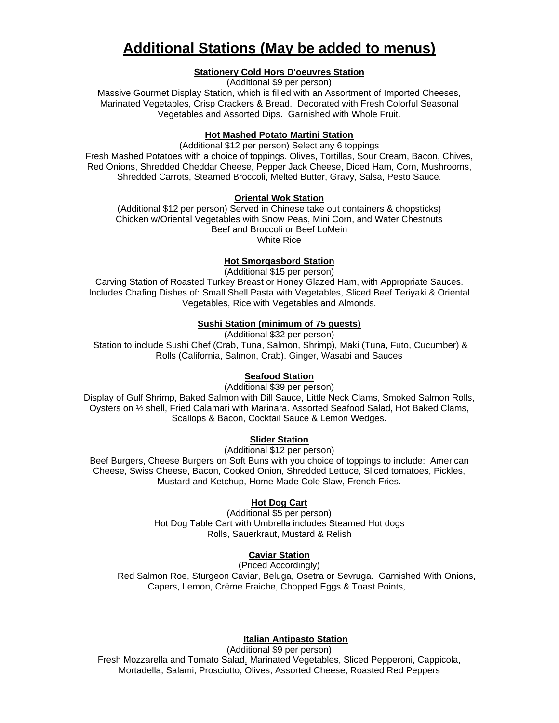# **Additional Stations (May be added to menus)**

#### **Stationery Cold Hors D'oeuvres Station**

(Additional \$9 per person)

Massive Gourmet Display Station, which is filled with an Assortment of Imported Cheeses, Marinated Vegetables, Crisp Crackers & Bread. Decorated with Fresh Colorful Seasonal Vegetables and Assorted Dips. Garnished with Whole Fruit.

#### **Hot Mashed Potato Martini Station**

(Additional \$12 per person) Select any 6 toppings Fresh Mashed Potatoes with a choice of toppings. Olives, Tortillas, Sour Cream, Bacon, Chives, Red Onions, Shredded Cheddar Cheese, Pepper Jack Cheese, Diced Ham, Corn, Mushrooms, Shredded Carrots, Steamed Broccoli, Melted Butter, Gravy, Salsa, Pesto Sauce.

#### **Oriental Wok Station**

(Additional \$12 per person) Served in Chinese take out containers & chopsticks) Chicken w/Oriental Vegetables with Snow Peas, Mini Corn, and Water Chestnuts Beef and Broccoli or Beef LoMein White Rice

#### **Hot Smorgasbord Station**

(Additional \$15 per person)

Carving Station of Roasted Turkey Breast or Honey Glazed Ham, with Appropriate Sauces. Includes Chafing Dishes of: Small Shell Pasta with Vegetables, Sliced Beef Teriyaki & Oriental Vegetables, Rice with Vegetables and Almonds.

#### **Sushi Station (minimum of 75 guests)**

(Additional \$32 per person) Station to include Sushi Chef (Crab, Tuna, Salmon, Shrimp), Maki (Tuna, Futo, Cucumber) & Rolls (California, Salmon, Crab). Ginger, Wasabi and Sauces

## **Seafood Station**

(Additional \$39 per person)

Display of Gulf Shrimp, Baked Salmon with Dill Sauce, Little Neck Clams, Smoked Salmon Rolls, Oysters on ½ shell, Fried Calamari with Marinara. Assorted Seafood Salad, Hot Baked Clams, Scallops & Bacon, Cocktail Sauce & Lemon Wedges.

#### **Slider Station**

(Additional \$12 per person)

Beef Burgers, Cheese Burgers on Soft Buns with you choice of toppings to include: American Cheese, Swiss Cheese, Bacon, Cooked Onion, Shredded Lettuce, Sliced tomatoes, Pickles, Mustard and Ketchup, Home Made Cole Slaw, French Fries.

#### **Hot Dog Cart**

(Additional \$5 per person) Hot Dog Table Cart with Umbrella includes Steamed Hot dogs Rolls, Sauerkraut, Mustard & Relish

# **Caviar Station**

(Priced Accordingly) Red Salmon Roe, Sturgeon Caviar, Beluga, Osetra or Sevruga. Garnished With Onions, Capers, Lemon, Crème Fraiche, Chopped Eggs & Toast Points,

#### **Italian Antipasto Station**

(Additional \$9 per person) Fresh Mozzarella and Tomato Salad, Marinated Vegetables, Sliced Pepperoni, Cappicola, Mortadella, Salami, Prosciutto, Olives, Assorted Cheese, Roasted Red Peppers